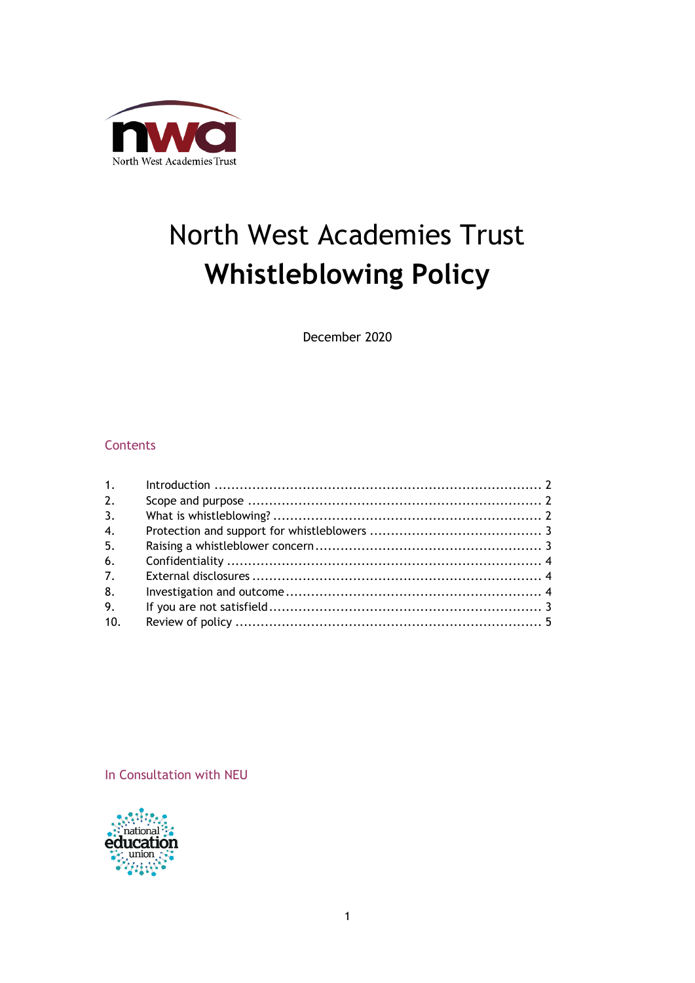

# North West Academies Trust **Whistleblowing Policy**

December 2020

### **Contents**

| 1 <sub>1</sub>   |  |
|------------------|--|
| 2.               |  |
| 3.               |  |
| $\overline{4}$ . |  |
| 5.               |  |
| 6.               |  |
| 7.               |  |
| 8.               |  |
| 9.               |  |
| 10.              |  |

In Consultation with NEU

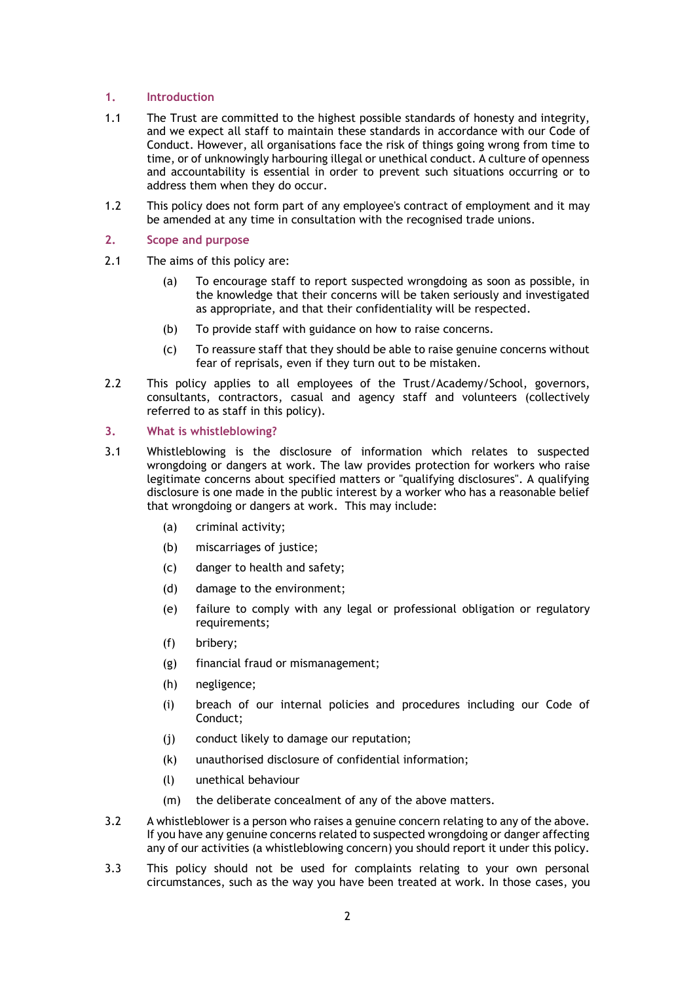#### <span id="page-1-0"></span>**1. Introduction**

- 1.1 The Trust are committed to the highest possible standards of honesty and integrity, and we expect all staff to maintain these standards in accordance with our Code of Conduct. However, all organisations face the risk of things going wrong from time to time, or of unknowingly harbouring illegal or unethical conduct. A culture of openness and accountability is essential in order to prevent such situations occurring or to address them when they do occur.
- 1.2 This policy does not form part of any employee's contract of employment and it may be amended at any time in consultation with the recognised trade unions.

#### <span id="page-1-1"></span>**2. Scope and purpose**

- 2.1 The aims of this policy are:
	- (a) To encourage staff to report suspected wrongdoing as soon as possible, in the knowledge that their concerns will be taken seriously and investigated as appropriate, and that their confidentiality will be respected.
	- (b) To provide staff with guidance on how to raise concerns.
	- (c) To reassure staff that they should be able to raise genuine concerns without fear of reprisals, even if they turn out to be mistaken.
- 2.2 This policy applies to all employees of the Trust/Academy/School, governors, consultants, contractors, casual and agency staff and volunteers (collectively referred to as staff in this policy).

#### <span id="page-1-2"></span>**3. What is whistleblowing?**

- 3.1 Whistleblowing is the disclosure of information which relates to suspected wrongdoing or dangers at work. The law provides protection for workers who raise legitimate concerns about specified matters or "qualifying disclosures". A qualifying disclosure is one made in the public interest by a worker who has a reasonable belief that wrongdoing or dangers at work. This may include:
	- (a) criminal activity;
	- (b) miscarriages of justice;
	- (c) danger to health and safety;
	- (d) damage to the environment;
	- (e) failure to comply with any legal or professional obligation or regulatory requirements;
	- (f) bribery;
	- (g) financial fraud or mismanagement;
	- (h) negligence;
	- (i) breach of our internal policies and procedures including our Code of Conduct;
	- (j) conduct likely to damage our reputation;
	- (k) unauthorised disclosure of confidential information;
	- (l) unethical behaviour
	- (m) the deliberate concealment of any of the above matters.
- 3.2 A whistleblower is a person who raises a genuine concern relating to any of the above. If you have any genuine concerns related to suspected wrongdoing or danger affecting any of our activities (a whistleblowing concern) you should report it under this policy.
- 3.3 This policy should not be used for complaints relating to your own personal circumstances, such as the way you have been treated at work. In those cases, you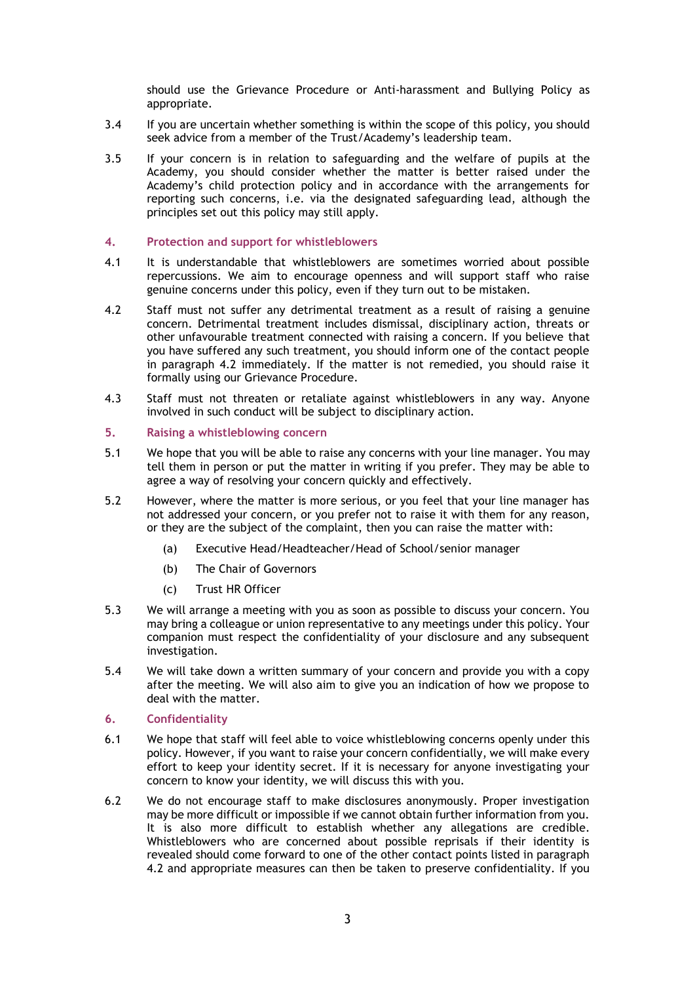should use the Grievance Procedure or Anti-harassment and Bullying Policy as appropriate.

- 3.4 If you are uncertain whether something is within the scope of this policy, you should seek advice from a member of the Trust/Academy's leadership team.
- 3.5 If your concern is in relation to safeguarding and the welfare of pupils at the Academy, you should consider whether the matter is better raised under the Academy's child protection policy and in accordance with the arrangements for reporting such concerns, i.e. via the designated safeguarding lead, although the principles set out this policy may still apply.

#### <span id="page-2-2"></span>**4. Protection and support for whistleblowers**

- 4.1 It is understandable that whistleblowers are sometimes worried about possible repercussions. We aim to encourage openness and will support staff who raise genuine concerns under this policy, even if they turn out to be mistaken.
- 4.2 Staff must not suffer any detrimental treatment as a result of raising a genuine concern. Detrimental treatment includes dismissal, disciplinary action, threats or other unfavourable treatment connected with raising a concern. If you believe that you have suffered any such treatment, you should inform one of the contact people in paragraph 4.2 immediately. If the matter is not remedied, you should raise it formally using our Grievance Procedure.
- 4.3 Staff must not threaten or retaliate against whistleblowers in any way. Anyone involved in such conduct will be subject to disciplinary action.

#### <span id="page-2-0"></span>**5. Raising a whistleblowing concern**

- 5.1 We hope that you will be able to raise any concerns with your line manager. You may tell them in person or put the matter in writing if you prefer. They may be able to agree a way of resolving your concern quickly and effectively.
- 5.2 However, where the matter is more serious, or you feel that your line manager has not addressed your concern, or you prefer not to raise it with them for any reason, or they are the subject of the complaint, then you can raise the matter with:
	- (a) Executive Head/Headteacher/Head of School/senior manager
	- (b) The Chair of Governors
	- (c) Trust HR Officer
- 5.3 We will arrange a meeting with you as soon as possible to discuss your concern. You may bring a colleague or union representative to any meetings under this policy. Your companion must respect the confidentiality of your disclosure and any subsequent investigation.
- 5.4 We will take down a written summary of your concern and provide you with a copy after the meeting. We will also aim to give you an indication of how we propose to deal with the matter.

#### <span id="page-2-1"></span>**6. Confidentiality**

- 6.1 We hope that staff will feel able to voice whistleblowing concerns openly under this policy. However, if you want to raise your concern confidentially, we will make every effort to keep your identity secret. If it is necessary for anyone investigating your concern to know your identity, we will discuss this with you.
- 6.2 We do not encourage staff to make disclosures anonymously. Proper investigation may be more difficult or impossible if we cannot obtain further information from you. It is also more difficult to establish whether any allegations are credible. Whistleblowers who are concerned about possible reprisals if their identity is revealed should come forward to one of the other contact points listed in paragraph 4.2 and appropriate measures can then be taken to preserve confidentiality. If you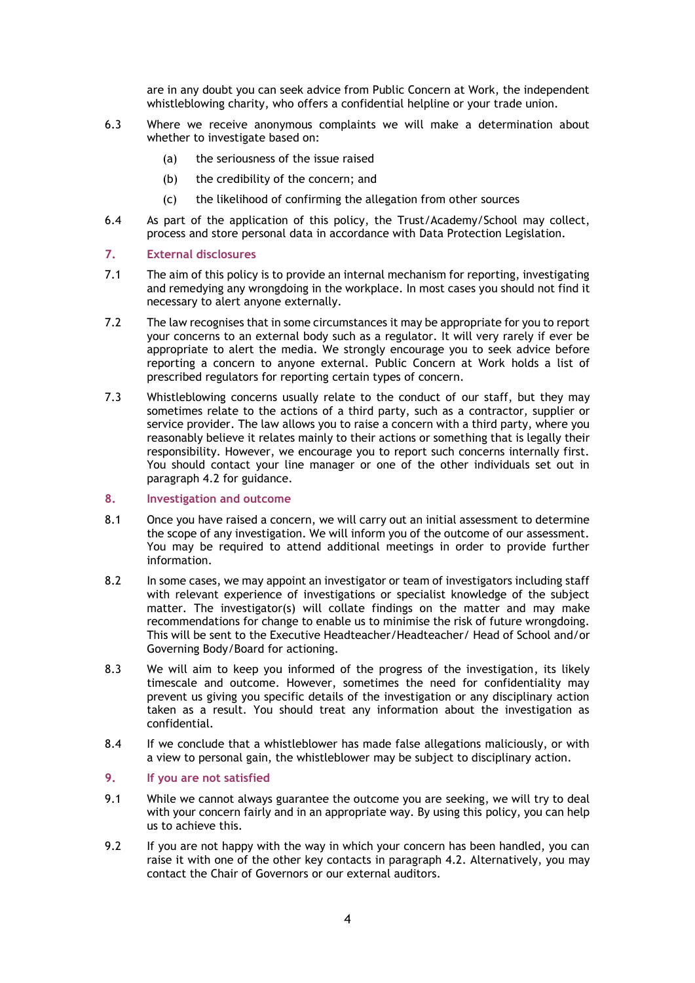are in any doubt you can seek advice from Public Concern at Work, the independent whistleblowing charity, who offers a confidential helpline or your trade union.

- 6.3 Where we receive anonymous complaints we will make a determination about whether to investigate based on:
	- (a) the seriousness of the issue raised
	- (b) the credibility of the concern; and
	- (c) the likelihood of confirming the allegation from other sources
- 6.4 As part of the application of this policy, the Trust/Academy/School may collect, process and store personal data in accordance with Data Protection Legislation.

#### <span id="page-3-0"></span>**7. External disclosures**

- 7.1 The aim of this policy is to provide an internal mechanism for reporting, investigating and remedying any wrongdoing in the workplace. In most cases you should not find it necessary to alert anyone externally.
- 7.2 The law recognises that in some circumstances it may be appropriate for you to report your concerns to an external body such as a regulator. It will very rarely if ever be appropriate to alert the media. We strongly encourage you to seek advice before reporting a concern to anyone external. Public Concern at Work holds a list of prescribed regulators for reporting certain types of concern.
- 7.3 Whistleblowing concerns usually relate to the conduct of our staff, but they may sometimes relate to the actions of a third party, such as a contractor, supplier or service provider. The law allows you to raise a concern with a third party, where you reasonably believe it relates mainly to their actions or something that is legally their responsibility. However, we encourage you to report such concerns internally first. You should contact your line manager or one of the other individuals set out in paragraph 4.2 for guidance.
- <span id="page-3-1"></span>**8. Investigation and outcome**
- 8.1 Once you have raised a concern, we will carry out an initial assessment to determine the scope of any investigation. We will inform you of the outcome of our assessment. You may be required to attend additional meetings in order to provide further information.
- 8.2 In some cases, we may appoint an investigator or team of investigators including staff with relevant experience of investigations or specialist knowledge of the subject matter. The investigator(s) will collate findings on the matter and may make recommendations for change to enable us to minimise the risk of future wrongdoing. This will be sent to the Executive Headteacher/Headteacher/ Head of School and/or Governing Body/Board for actioning.
- 8.3 We will aim to keep you informed of the progress of the investigation, its likely timescale and outcome. However, sometimes the need for confidentiality may prevent us giving you specific details of the investigation or any disciplinary action taken as a result. You should treat any information about the investigation as confidential.
- 8.4 If we conclude that a whistleblower has made false allegations maliciously, or with a view to personal gain, the whistleblower may be subject to disciplinary action.

#### <span id="page-3-2"></span>**9. If you are not satisfied**

- 9.1 While we cannot always guarantee the outcome you are seeking, we will try to deal with your concern fairly and in an appropriate way. By using this policy, you can help us to achieve this.
- 9.2 If you are not happy with the way in which your concern has been handled, you can raise it with one of the other key contacts in paragraph 4.2. Alternatively, you may contact the Chair of Governors or our external auditors.